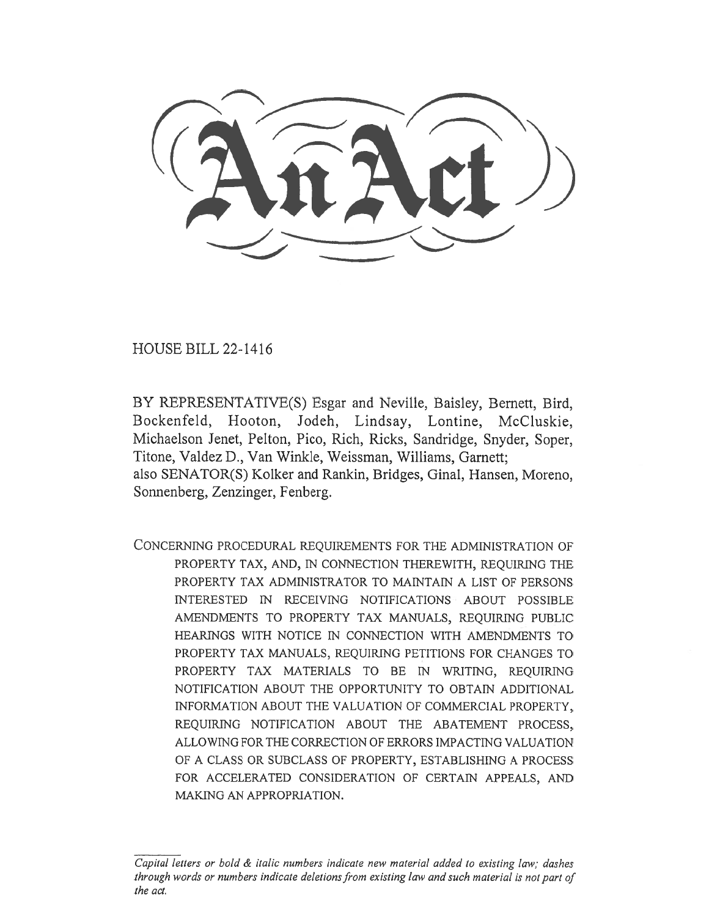HOUSE BILL 22-1416

BY REPRESENTATIVE(S) Esgar and Neville, Baisley, Bernett, Bird, Bockenfeld, Hooton, Jodeh, Lindsay, Lontine, McCluskie, Michaelson Jenet, Pelton, Pico, Rich, Ricks, Sandridge, Snyder, Soper, Titone, Valdez D., Van Winkle, Weissman, Williams, Garnett; also SENATOR(S) Kolker and Rankin, Bridges, Ginal, Hansen, Moreno, Sonnenberg, Zenzinger, Fenberg.

CONCERNING PROCEDURAL REQUIREMENTS FOR THE ADMINISTRATION OF PROPERTY TAX, AND, IN CONNECTION THEREWITH, REQUIRING THE PROPERTY TAX ADMINISTRATOR TO MAINTAIN A LIST OF PERSONS INTERESTED IN RECEIVING NOTIFICATIONS ABOUT POSSIBLE AMENDMENTS TO PROPERTY TAX MANUALS, REQUIRING PUBLIC HEARINGS WITH NOTICE IN CONNECTION WITH AMENDMENTS TO PROPERTY TAX MANUALS, REQUIRING PETITIONS FOR CHANGES TO PROPERTY TAX MATERIALS TO BE IN WRITING, REQUIRING NOTIFICATION ABOUT THE OPPORTUNITY TO OBTAIN ADDITIONAL INFORMATION ABOUT THE VALUATION OF COMMERCIAL PROPERTY, REQUIRING NOTIFICATION ABOUT THE ABATEMENT PROCESS, ALLOWING FOR THE CORRECTION OF ERRORS IMPACTING VALUATION OF A CLASS OR SUBCLASS OF PROPERTY, ESTABLISHING A PROCESS FOR ACCELERATED CONSIDERATION OF CERTAIN APPEALS, AND MAKING AN APPROPRIATION.

Capital letters or bold & italic numbers indicate new material added to existing law; dashes through words or numbers indicate deletions from existing law and such material is not part of the act.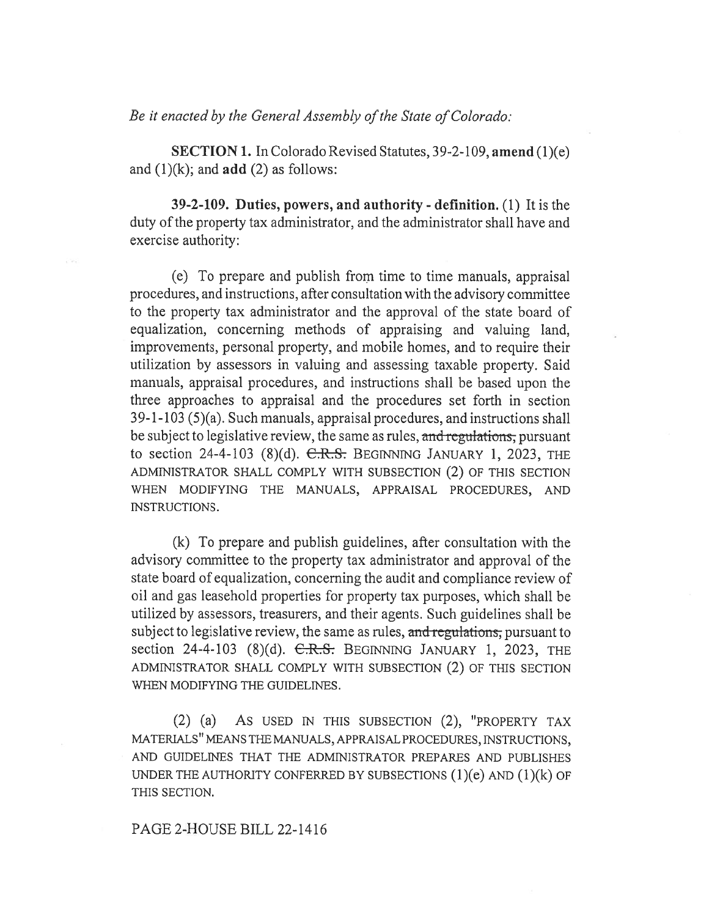Be it enacted by the General Assembly of the State of Colorado:

SECTION 1. In Colorado Revised Statutes, 39-2-109, amend (1)(e) and  $(1)(k)$ ; and **add**  $(2)$  as follows:

39-2-109. Duties, powers, and authority - definition. (1) It is the duty of the property tax administrator, and the administrator shall have and exercise authority:

(e) To prepare and publish from time to time manuals, appraisal procedures, and instructions, after consultation with the advisory committee to the property tax administrator and the approval of the state board of equalization, concerning methods of appraising and valuing land, improvements, personal property, and mobile homes, and to require their utilization by assessors in valuing and assessing taxable property. Said manuals, appraisal procedures, and instructions shall be based upon the three approaches to appraisal and the procedures set forth in section 39-1-103 (5)(a). Such manuals, appraisal procedures, and instructions shall be subject to legislative review, the same as rules, and regulations, pursuant to section 24-4-103  $(8)(d)$ . C.R.S. BEGINNING JANUARY 1, 2023, THE ADMINISTRATOR SHALL COMPLY WITH SUBSECTION (2) OF THIS SECTION WHEN MODIFYING THE MANUALS, APPRAISAL PROCEDURES, AND INSTRUCTIONS.

(k) To prepare and publish guidelines, after consultation with the advisory committee to the property tax administrator and approval of the state board of equalization, concerning the audit and compliance review of oil and gas leasehold properties for property tax purposes, which shall be utilized by assessors, treasurers, and their agents. Such guidelines shall be subject to legislative review, the same as rules, and regulations, pursuant to section 24-4-103 (8)(d).  $C.R.S.$  BEGINNING JANUARY 1, 2023, THE ADMINISTRATOR SHALL COMPLY WITH SUBSECTION (2) OF THIS SECTION WHEN MODIFYING THE GUIDELINES.

(2) (a) AS USED IN THIS SUBSECTION (2), "PROPERTY TAX MATERIALS" MEANS THE MANUALS, APPRAISAL PROCEDURES, INSTRUCTIONS, AND GUIDELINES THAT THE ADMINISTRATOR PREPARES AND PUBLISHES UNDER THE AUTHORITY CONFERRED BY SUBSECTIONS  $(1)(e)$  AND  $(1)(k)$  OF THIS SECTION.

#### PAGE 2-HOUSE BILL 22-1416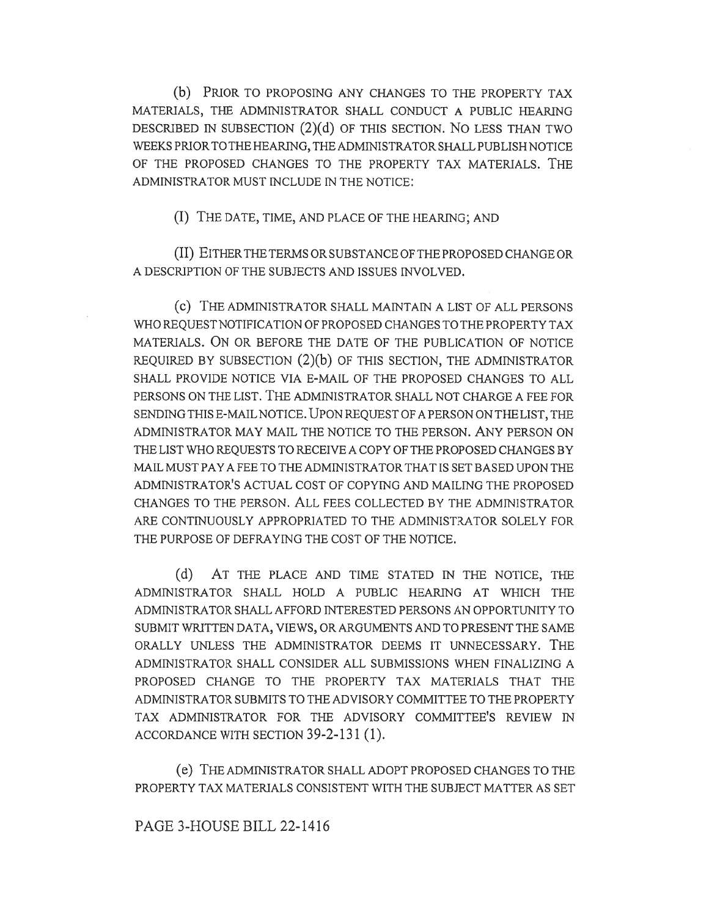(b) PRIOR TO PROPOSING ANY CHANGES TO THE PROPERTY TAX MATERIALS, THE ADMINISTRATOR SHALL CONDUCT A PUBLIC HEARING DESCRIBED IN SUBSECTION (2)(d) OF THIS SECTION. No LESS THAN TWO WEEKS PRIOR TO THE HEARING, THE ADMINISTRATOR SHALL PUBLISH NOTICE OF THE PROPOSED CHANGES TO THE PROPERTY TAX MATERIALS. THE ADMINISTRATOR MUST INCLUDE IN THE NOTICE:

(I) THE DATE, TIME, AND PLACE OF THE HEARING; AND

(II) EITHER THE TERMS OR SUBSTANCE OF THE PROPOSED CHANGE OR A DESCRIPTION OF THE SUBJECTS AND ISSUES INVOLVED.

(c) THE ADMINISTRATOR SHALL MAINTAIN A LIST OF ALL PERSONS WHO REQUEST NOTIFICATION OF PROPOSED CHANGES TO THE PROPERTY TAX MATERIALS. ON OR BEFORE THE DATE OF THE PUBLICATION OF NOTICE REQUIRED BY SUBSECTION (2)(b) OF THIS SECTION, THE ADMINISTRATOR SHALL PROVIDE NOTICE VIA E-MAIL OF THE PROPOSED CHANGES TO ALL PERSONS ON THE LIST. THE ADMINISTRATOR SHALL NOT CHARGE A FEE FOR SENDING THIS E-MAIL NOTICE. UPON REQUEST OF A PERSON ON THE LIST, THE ADMINISTRATOR MAY MAIL THE NOTICE TO THE PERSON. ANY PERSON ON THE LIST WHO REQUESTS TO RECEIVE A COPY OF THE PROPOSED CHANGES BY MAIL MUST PAY A FEE TO THE ADMINISTRATOR THAT IS SET BASED UPON THE ADMINISTRATOR'S ACTUAL COST OF COPYING AND MAILING THE PROPOSED CHANGES TO THE PERSON. ALL FEES COLLECTED BY THE ADMINISTRATOR ARE CONTINUOUSLY APPROPRIATED TO THE ADMINISTRATOR SOLELY FOR THE PURPOSE OF DEFRAYING THE COST OF THE NOTICE.

(d) AT THE PLACE AND TIME STATED IN THE NOTICE, THE ADMINISTRATOR SHALL HOLD A PUBLIC HEARING AT WHICH THE ADMINISTRATOR SHALL AFFORD INTERESTED PERSONS AN OPPORTUNITY TO SUBMIT WRITTEN DATA, VIEWS, OR ARGUMENTS AND TO PRESENT THE SAME ORALLY UNLESS THE ADMINISTRATOR DEEMS IT UNNECESSARY. THE ADMINISTRATOR SHALL CONSIDER ALL SUBMISSIONS WHEN FINALIZING A PROPOSED CHANGE TO THE PROPERTY TAX MATERIALS THAT THE ADMINISTRATOR SUBMITS TO THE ADVISORY COMMITTEE TO THE PROPERTY TAX ADMINISTRATOR FOR THE ADVISORY COMMITTEE'S REVIEW IN ACCORDANCE WITH SECTION 39-2-131 (1).

(e) THE ADMINISTRATOR SHALL ADOPT PROPOSED CHANGES TO THE PROPERTY TAX MATERIALS CONSISTENT WITH THE SUBJECT MATTER AS SET

## PAGE 3-HOUSE BILL 22-1416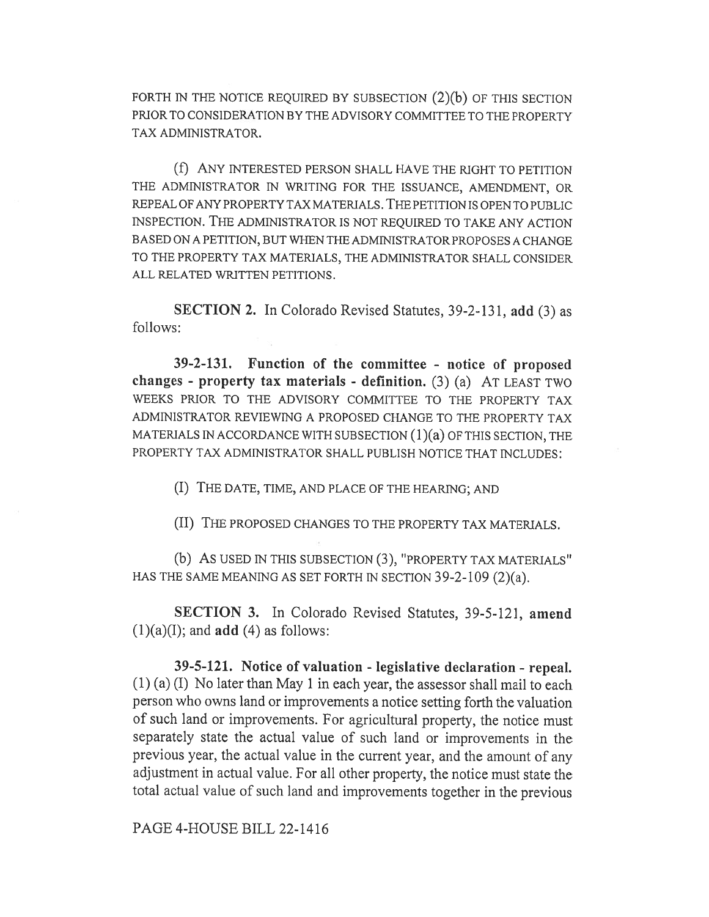FORTH IN THE NOTICE REQUIRED BY SUBSECTION (2)(b) OF THIS SECTION PRIOR TO CONSIDERATION BY THE ADVISORY COMMITTEE TO THE PROPERTY TAX ADMINISTRATOR.

(f) ANY INTERESTED PERSON SHALL HAVE THE RIGHT TO PETITION THE ADMINISTRATOR IN WRITING FOR THE ISSUANCE, AMENDMENT, OR REPEAL OF ANY PROPERTY TAX MATERIALS. THE PETITION IS OPEN TO PUBLIC INSPECTION. THE ADMINISTRATOR IS NOT REQUIRED TO TAKE ANY ACTION BASED ON A PETITION, BUT WHEN THE ADMINISTRATOR PROPOSES A CHANGE TO THE PROPERTY TAX MATERIALS, THE ADMINISTRATOR SHALL CONSIDER ALL RELATED WRITTEN PETITIONS.

SECTION 2. In Colorado Revised Statutes, 39-2-131, add (3) as follows:

39-2-131. Function of the committee - notice of proposed changes - property tax materials - definition. (3) (a) AT LEAST TWO WEEKS PRIOR TO THE ADVISORY COMMITTEE TO THE PROPERTY TAX ADMINISTRATOR REVIEWING A PROPOSED CHANGE TO THE PROPERTY TAX MATERIALS IN ACCORDANCE WITH SUBSECTION (1)(a) OF THIS SECTION, THE PROPERTY TAX ADMINISTRATOR SHALL PUBLISH NOTICE THAT INCLUDES:

(I) THE DATE, TIME, AND PLACE OF THE HEARING; AND

(II) THE PROPOSED CHANGES TO THE PROPERTY TAX MATERIALS.

(b) AS USED IN THIS SUBSECTION (3), "PROPERTY TAX MATERIALS" HAS THE SAME MEANING AS SET FORTH IN SECTION 39-2-109 (2)(a).

SECTION 3. In Colorado Revised Statutes, 39-5-121, amend  $(1)(a)(I)$ ; and **add**  $(4)$  as follows:

39-5-121. Notice of valuation - legislative declaration - repeal. (1) (a) (I) No later than May 1 in each year, the assessor shall mail to each person who owns land or improvements a notice setting forth the valuation of such land or improvements. For agricultural property, the notice must separately state the actual value of such land or improvements in the previous year, the actual value in the current year, and the amount of any adjustment in actual value. For all other property, the notice must state the total actual value of such land and improvements together in the previous

PAGE 4-HOUSE BILL 22-1416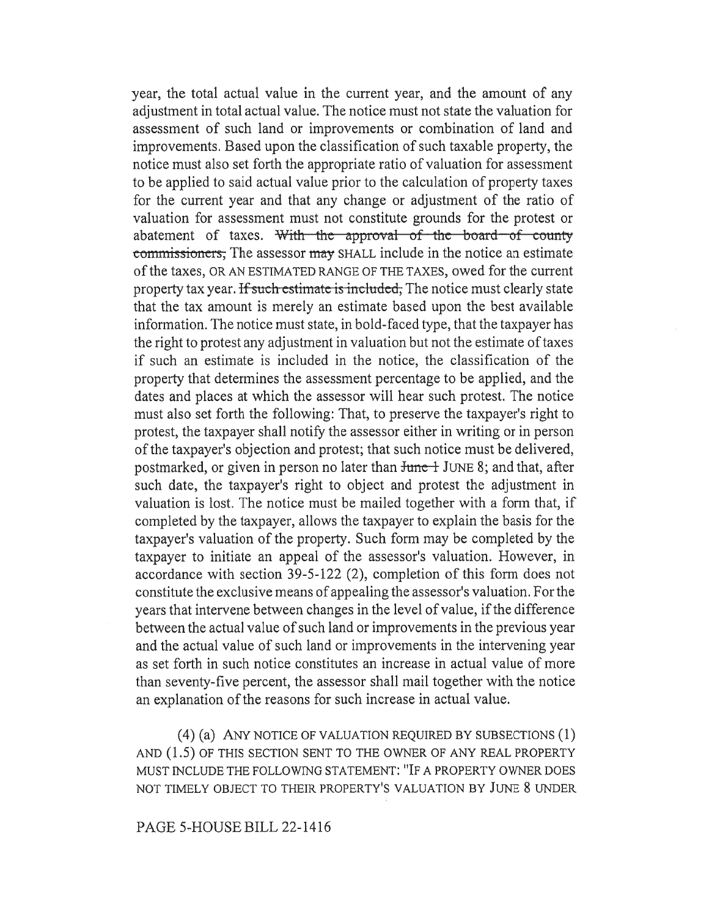year, the total actual value in the current year, and the amount of any adjustment in total actual value. The notice must not state the valuation for assessment of such land or improvements or combination of land and improvements. Based upon the classification of such taxable property, the notice must also set forth the appropriate ratio of valuation for assessment to be applied to said actual value prior to the calculation of property taxes for the current year and that any change or adjustment of the ratio of valuation for assessment must not constitute grounds for the protest or abatement of taxes. With the approval of the board of county commissioners, The assessor may SHALL include in the notice an estimate of the taxes, OR AN ESTIMATED RANGE OF THE TAXES, owed for the current property tax year. If such estimate is included, The notice must clearly state that the tax amount is merely an estimate based upon the best available information. The notice must state, in bold-faced type, that the taxpayer has the right to protest any adjustment in valuation but not the estimate of taxes if such an estimate is included in the notice, the classification of the property that determines the assessment percentage to be applied, and the dates and places at which the assessor will hear such protest. The notice must also set forth the following: That, to preserve the taxpayer's right to protest, the taxpayer shall notify the assessor either in writing or in person of the taxpayer's objection and protest; that such notice must be delivered, postmarked, or given in person no later than June 1 JUNE 8; and that, after such date, the taxpayer's right to object and protest the adjustment in valuation is lost. The notice must be mailed together with a form that, if completed by the taxpayer, allows the taxpayer to explain the basis for the taxpayer's valuation of the property. Such form may be completed by the taxpayer to initiate an appeal of the assessor's valuation. However, in accordance with section 39-5-122 (2), completion of this form does not constitute the exclusive means of appealing the assessor's valuation. For the years that intervene between changes in the level of value, if the difference between the actual value of such land or improvements in the previous year and the actual value of such land or improvements in the intervening year as set forth in such notice constitutes an increase in actual value of more than seventy-five percent, the assessor shall mail together with the notice an explanation of the reasons for such increase in actual value.

(4) (a) ANY NOTICE OF VALUATION REQUIRED BY SUBSECTIONS (1) AND (1.5) OF THIS SECTION SENT TO THE OWNER OF ANY REAL PROPERTY MUST INCLUDE THE FOLLOWING STATEMENT: "IF A PROPERTY OWNER DOES NOT TIMELY OBJECT TO THEIR PROPERTY'S VALUATION BY JUNE 8 UNDER

## PAGE 5-HOUSE BILL 22-1416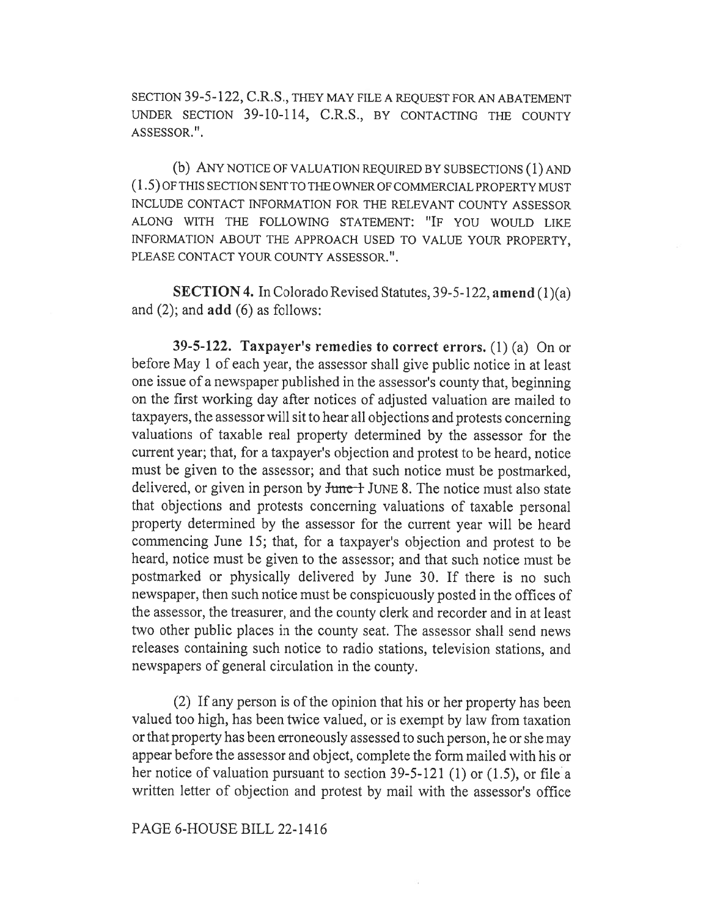SECTION 39-5-122, C.R.S., THEY MAY FILE A REQUEST FOR AN ABATEMENT UNDER SECTION 39-10-114, C.R.S., BY CONTACTING THE COUNTY ASSESSOR.".

(b) ANY NOTICE OF VALUATION REQUIRED BY SUBSECTIONS (1) AND (1.5) OF THIS SECTION SENT TO THE OWNER OF COMMERCIAL PROPERTY MUST INCLUDE CONTACT INFORMATION FOR THE RELEVANT COUNTY ASSESSOR ALONG WITH THE FOLLOWING STATEMENT: "IF YOU WOULD LIKE INFORMATION ABOUT THE APPROACH USED TO VALUE YOUR PROPERTY, PLEASE CONTACT YOUR COUNTY ASSESSOR.".

SECTION 4. In Colorado Revised Statutes, 39-5-122, amend (1)(a) and  $(2)$ ; and  $add (6)$  as follows:

39-5-122. Taxpayer's remedies to correct errors. (1) (a) On or before May 1 of each year, the assessor shall give public notice in at least one issue of a newspaper published in the assessor's county that, beginning on the first working day after notices of adjusted valuation are mailed to taxpayers, the assessor will sit to hear all objections and protests concerning valuations of taxable real property determined by the assessor for the current year; that, for a taxpayer's objection and protest to be heard, notice must be given to the assessor; and that such notice must be postmarked, delivered, or given in person by  $J$ une  $+$  JUNE 8. The notice must also state that objections and protests concerning valuations of taxable personal property determined by the assessor for the current year will be heard commencing June 15; that, for a taxpayer's objection and protest to be heard, notice must be given to the assessor; and that such notice must be postmarked or physically delivered by June 30. If there is no such newspaper, then such notice must be conspicuously posted in the offices of the assessor, the treasurer, and the county clerk and recorder and in at least two other public places in the county seat. The assessor shall send news releases containing such notice to radio stations, television stations, and newspapers of general circulation in the county.

(2) If any person is of the opinion that his or her property has been valued too high, has been twice valued, or is exempt by law from taxation or that property has been erroneously assessed to such person, he or she may appear before the assessor and object, complete the form mailed with his or her notice of valuation pursuant to section 39-5-121 (1) or (1.5), or file a written letter of objection and protest by mail with the assessor's office

#### PAGE 6-HOUSE BILL 22-1416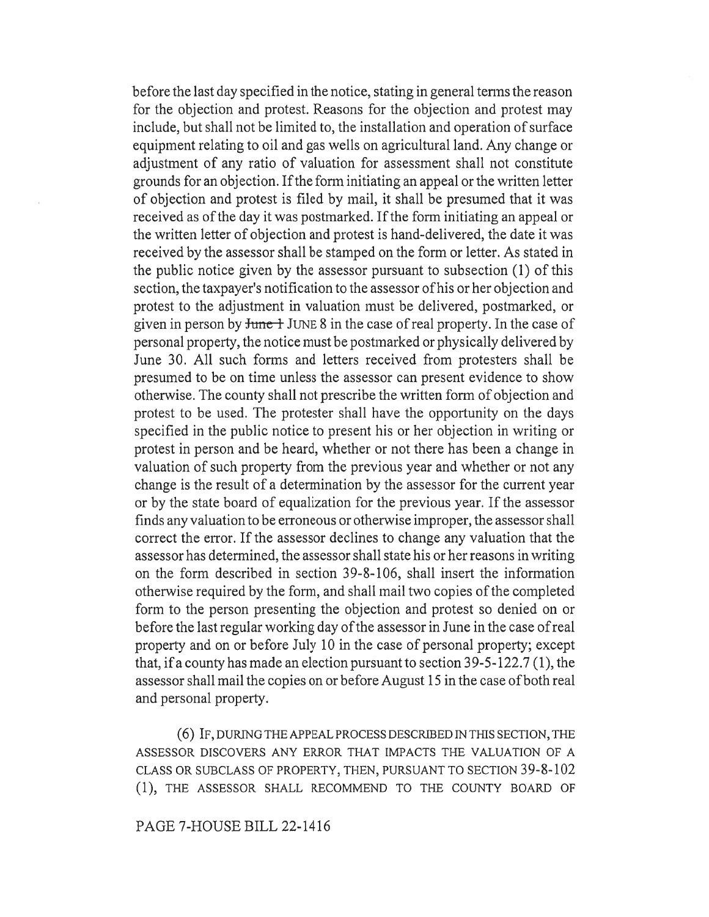before the last day specified in the notice, stating in general terms the reason for the objection and protest. Reasons for the objection and protest may include, but shall not be limited to, the installation and operation of surface equipment relating to oil and gas wells on agricultural land. Any change or adjustment of any ratio of valuation for assessment shall not constitute grounds for an objection. If the form initiating an appeal or the written letter of objection and protest is filed by mail, it shall be presumed that it was received as of the day it was postmarked. If the form initiating an appeal or the written letter of objection and protest is hand-delivered, the date it was received by the assessor shall be stamped on the form or letter. As stated in the public notice given by the assessor pursuant to subsection (1) of this section, the taxpayer's notification to the assessor of his or her objection and protest to the adjustment in valuation must be delivered, postmarked, or given in person by  $\frac{1}{2}$  JUNE 8 in the case of real property. In the case of personal property, the notice must be postmarked or physically delivered by June 30. All such forms and letters received from protesters shall be presumed to be on time unless the assessor can present evidence to show otherwise. The county shall not prescribe the written form of objection and protest to be used. The protester shall have the opportunity on the days specified in the public notice to present his or her objection in writing or protest in person and be heard, whether or not there has been a change in valuation of such property from the previous year and whether or not any change is the result of a determination by the assessor for the current year or by the state board of equalization for the previous year. If the assessor finds any valuation to be erroneous or otherwise improper, the assessor shall correct the error. If the assessor declines to change any valuation that the assessor has determined, the assessor shall state his or her reasons in writing on the form described in section 39-8-106, shall insert the information otherwise required by the form, and shall mail two copies of the completed form to the person presenting the objection and protest so denied on or before the last regular working day of the assessor in June in the case of real property and on or before July 10 in the case of personal property; except that, if a county has made an election pursuant to section 39-5-122.7 (1), the assessor shall mail the copies on or before August 15 in the case of both real and personal property.

(6) IF, DURING THE APPEAL PROCESS DESCRIBED IN THIS SECTION, THE ASSESSOR DISCOVERS ANY ERROR THAT IMPACTS THE VALUATION OF A CLASS OR SUBCLASS OF PROPERTY, THEN, PURSUANT TO SECTION 39-8-102 (1), THE ASSESSOR SHALL RECOMMEND TO THE COUNTY BOARD OF

# PAGE 7-HOUSE BILL 22-1416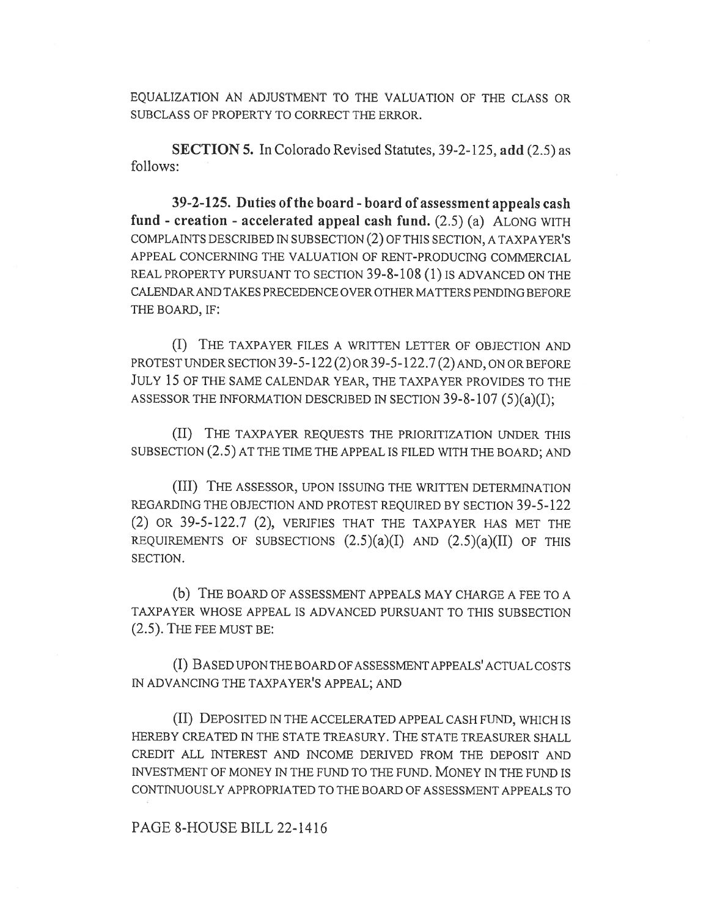EQUALIZATION AN ADJUSTMENT TO THE VALUATION OF THE CLASS OR SUBCLASS OF PROPERTY TO CORRECT THE ERROR.

SECTION 5. In Colorado Revised Statutes, 39-2-125, add (2.5) as follows:

39-2-125. Duties of the board - board of assessment appeals cash fund - creation - accelerated appeal cash fund.  $(2.5)$  (a) ALONG WITH COMPLAINTS DESCRIBED IN SUBSECTION (2) OF THIS SECTION, A TAXPAYER'S APPEAL CONCERNING THE VALUATION OF RENT-PRODUCING COMMERCIAL REAL PROPERTY PURSUANT TO SECTION 39-8-108 (1) IS ADVANCED ON THE CALENDAR AND TAKES PRECEDENCE OVER OTHER MATTERS PENDING BEFORE THE BOARD, IF:

(I) THE TAXPAYER FILES A WRITTEN LETTER OF OBJECTION AND PROTEST UNDER SECTION 39-5-122 (2) OR 39-5-122.7 (2) AND, ON OR BEFORE JULY 15 OF THE SAME CALENDAR YEAR, THE TAXPAYER PROVIDES TO THE ASSESSOR THE INFORMATION DESCRIBED IN SECTION  $39-8-107(5)(a)(I);$ 

(II) THE TAXPAYER REQUESTS THE PRIORITIZATION UNDER THIS SUBSECTION (2.5) AT THE TIME THE APPEAL IS FILED WITH THE BOARD; AND

(III) THE ASSESSOR, UPON ISSUING THE WRITTEN DETERMINATION REGARDING THE OBJECTION AND PROTEST REQUIRED BY SECTION 39-5-122 (2) OR 39-5-122.7 (2), VERIFIES THAT THE TAXPAYER HAS MET THE REQUIREMENTS OF SUBSECTIONS  $(2.5)(a)(I)$  AND  $(2.5)(a)(II)$  OF THIS SECTION.

(b) THE BOARD OF ASSESSMENT APPEALS MAY CHARGE A FEE TO A TAXPAYER WHOSE APPEAL IS ADVANCED PURSUANT TO THIS SUBSECTION (2.5). THE FEE MUST BE:

(I) BASED UPON THE BOARD OF ASSESSMENT APPEALS' ACTUAL COSTS IN ADVANCING THE TAXPAYER'S APPEAL; AND

(II) DEPOSITED IN THE ACCELERATED APPEAL CASH FUND, WHICH IS HEREBY CREATED IN THE STATE TREASURY. THE STATE TREASURER SHALL CREDIT ALL INTEREST AND INCOME DERIVED FROM THE DEPOSIT AND INVESTMENT OF MONEY IN THE FUND TO THE FUND. MONEY IN THE FUND IS CONTINUOUSLY APPROPRIATED TO THE BOARD OF ASSESSMENT APPEALS TO

## PAGE 8-HOUSE BILL 22-1416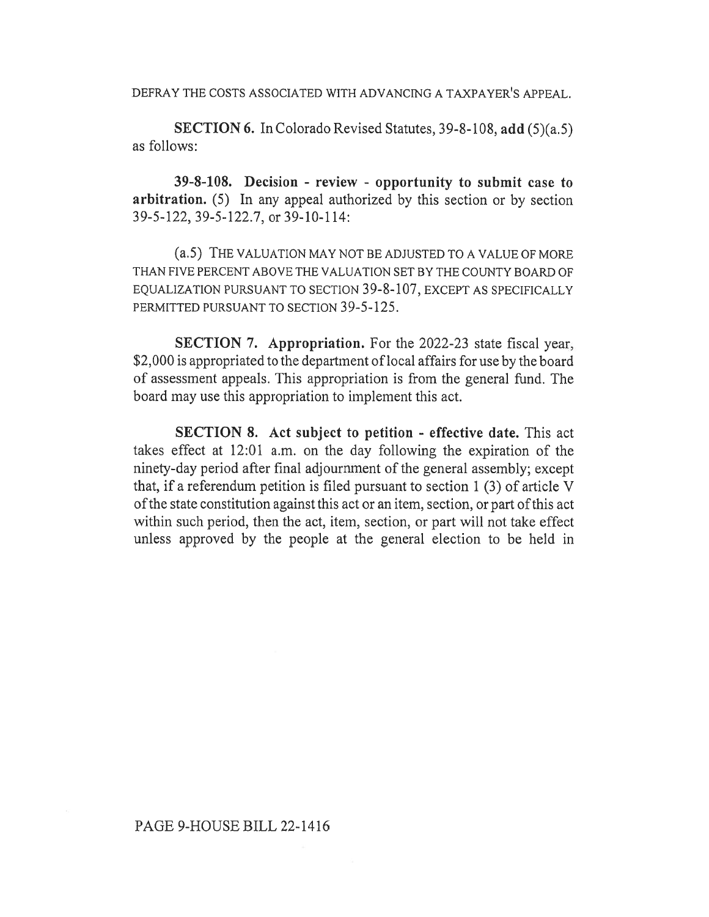DEFRAY THE COSTS ASSOCIATED WITH ADVANCING A TAXPAYER'S APPEAL.

SECTION 6. In Colorado Revised Statutes, 39-8-108, add (5)(a.5) as follows:

39-8-108. Decision - review - opportunity to submit case to arbitration. (5) In any appeal authorized by this section or by section 39-5-122, 39-5-122.7, or 39-10-114:

(a.5) THE VALUATION MAY NOT BE ADJUSTED TO A VALUE OF MORE THAN FIVE PERCENT ABOVE THE VALUATION SET BY THE COUNTY BOARD OF EQUALIZATION PURSUANT TO SECTION 39-8-107, EXCEPT AS SPECIFICALLY PERMITTED PURSUANT TO SECTION 39-5-125.

SECTION 7. Appropriation. For the 2022-23 state fiscal year, \$2,000 is appropriated to the department of local affairs for use by the board of assessment appeals. This appropriation is from the general fund. The board may use this appropriation to implement this act.

SECTION 8. Act subject to petition - effective date. This act takes effect at 12:01 a.m. on the day following the expiration of the ninety-day period after final adjournment of the general assembly; except that, if a referendum petition is filed pursuant to section 1 (3) of article V of the state constitution against this act or an item, section, or part of this act within such period, then the act, item, section, or part will not take effect unless approved by the people at the general election to be held in